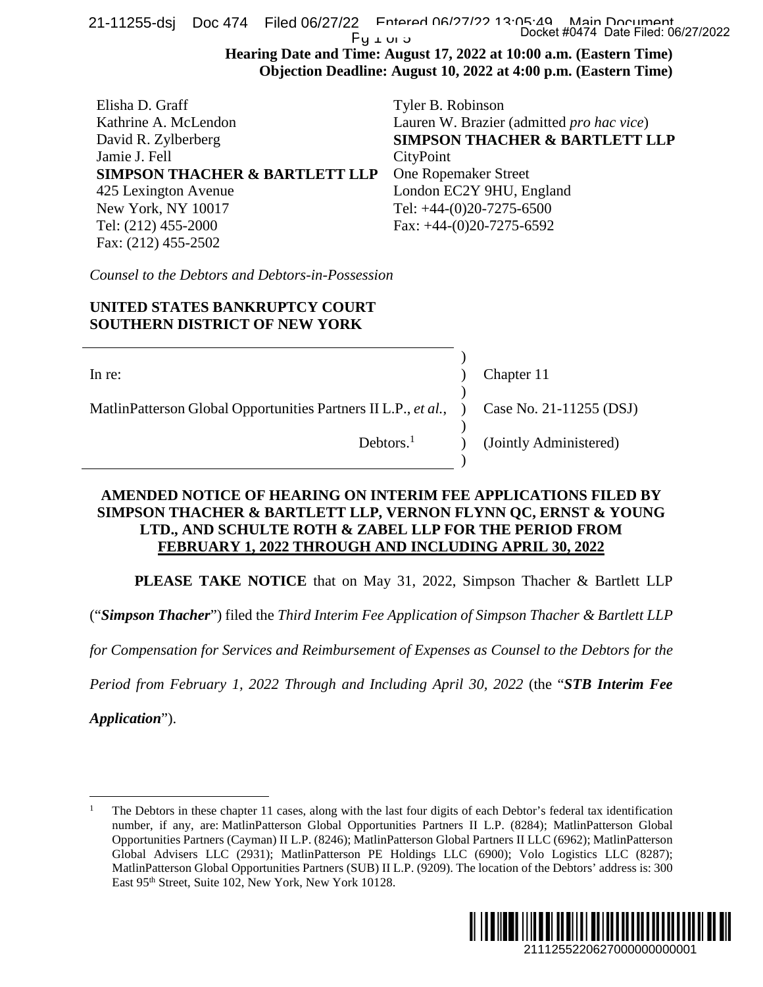| $Fy \perp w \triangleright$                                                                                                                                                                                                                         | Docket #0474 Date Filed: 06/27/2022<br>Hearing Date and Time: August 17, 2022 at 10:00 a.m. (Eastern Time)                                                                                                                                                                                                                                                                                                                                                                                                                                                              |  |  |
|-----------------------------------------------------------------------------------------------------------------------------------------------------------------------------------------------------------------------------------------------------|-------------------------------------------------------------------------------------------------------------------------------------------------------------------------------------------------------------------------------------------------------------------------------------------------------------------------------------------------------------------------------------------------------------------------------------------------------------------------------------------------------------------------------------------------------------------------|--|--|
|                                                                                                                                                                                                                                                     | Objection Deadline: August 10, 2022 at 4:00 p.m. (Eastern Time)                                                                                                                                                                                                                                                                                                                                                                                                                                                                                                         |  |  |
| Elisha D. Graff<br>Kathrine A. McLendon<br>David R. Zylberberg<br>Jamie J. Fell<br><b>SIMPSON THACHER &amp; BARTLETT LLP</b><br>425 Lexington Avenue<br>New York, NY 10017<br>Tel: (212) 455-2000<br>Fax: (212) 455-2502                            | Tyler B. Robinson<br>Lauren W. Brazier (admitted pro hac vice)<br><b>SIMPSON THACHER &amp; BARTLETT LLP</b><br>CityPoint<br>One Ropemaker Street<br>London EC2Y 9HU, England<br>Tel: +44-(0)20-7275-6500<br>Fax: $+44-(0)20-7275-6592$                                                                                                                                                                                                                                                                                                                                  |  |  |
| Counsel to the Debtors and Debtors-in-Possession                                                                                                                                                                                                    |                                                                                                                                                                                                                                                                                                                                                                                                                                                                                                                                                                         |  |  |
| UNITED STATES BANKRUPTCY COURT<br><b>SOUTHERN DISTRICT OF NEW YORK</b>                                                                                                                                                                              |                                                                                                                                                                                                                                                                                                                                                                                                                                                                                                                                                                         |  |  |
| $\ln$ re:<br>MatlinPatterson Global Opportunities Partners II L.P., et al.,                                                                                                                                                                         | Chapter 11<br>Case No. 21-11255 (DSJ)                                                                                                                                                                                                                                                                                                                                                                                                                                                                                                                                   |  |  |
| Debtors. $1$                                                                                                                                                                                                                                        | (Jointly Administered)                                                                                                                                                                                                                                                                                                                                                                                                                                                                                                                                                  |  |  |
| AMENDED NOTICE OF HEARING ON INTERIM FEE APPLICATIONS FILED BY<br>SIMPSON THACHER & BARTLETT LLP, VERNON FLYNN QC, ERNST & YOUNG<br>LTD., AND SCHULTE ROTH & ZABEL LLP FOR THE PERIOD FROM<br>FEBRUARY 1, 2022 THROUGH AND INCLUDING APRIL 30, 2022 |                                                                                                                                                                                                                                                                                                                                                                                                                                                                                                                                                                         |  |  |
|                                                                                                                                                                                                                                                     | <b>PLEASE TAKE NOTICE</b> that on May 31, 2022, Simpson Thacher & Bartlett LLP                                                                                                                                                                                                                                                                                                                                                                                                                                                                                          |  |  |
| "Simpson Thacher") filed the Third Interim Fee Application of Simpson Thacher & Bartlett LLP                                                                                                                                                        |                                                                                                                                                                                                                                                                                                                                                                                                                                                                                                                                                                         |  |  |
| For Compensation for Services and Reimbursement of Expenses as Counsel to the Debtors for the                                                                                                                                                       |                                                                                                                                                                                                                                                                                                                                                                                                                                                                                                                                                                         |  |  |
| Period from February 1, 2022 Through and Including April 30, 2022 (the "STB Interim Fee                                                                                                                                                             |                                                                                                                                                                                                                                                                                                                                                                                                                                                                                                                                                                         |  |  |
| <i>Application"</i> ).                                                                                                                                                                                                                              |                                                                                                                                                                                                                                                                                                                                                                                                                                                                                                                                                                         |  |  |
|                                                                                                                                                                                                                                                     |                                                                                                                                                                                                                                                                                                                                                                                                                                                                                                                                                                         |  |  |
| East 95 <sup>th</sup> Street, Suite 102, New York, New York 10128.                                                                                                                                                                                  | The Debtors in these chapter 11 cases, along with the last four digits of each Debtor's federal tax identification<br>number, if any, are: MatlinPatterson Global Opportunities Partners II L.P. (8284); MatlinPatterson Global<br>Opportunities Partners (Cayman) II L.P. (8246); MatlinPatterson Global Partners II LLC (6962); MatlinPatterson<br>Global Advisers LLC (2931); MatlinPatterson PE Holdings LLC (6900); Volo Logistics LLC (8287);<br>MatlinPatterson Global Opportunities Partners (SUB) II L.P. (9209). The location of the Debtors' address is: 300 |  |  |
|                                                                                                                                                                                                                                                     | III II III<br>2111255220627000000000001                                                                                                                                                                                                                                                                                                                                                                                                                                                                                                                                 |  |  |

# **UNITED STATES BANKRUPTCY COURT SOUTHERN DISTRICT OF NEW YORK**

| In re:                                                                                   |  | Chapter 11                                            |
|------------------------------------------------------------------------------------------|--|-------------------------------------------------------|
| MatlinPatterson Global Opportunities Partners II L.P., et al., ) Case No. 21-11255 (DSJ) |  |                                                       |
|                                                                                          |  | Debtors. <sup>1</sup> $\qquad$ (Jointly Administered) |

## **AMENDED NOTICE OF HEARING ON INTERIM FEE APPLICATIONS FILED BY SIMPSON THACHER & BARTLETT LLP, VERNON FLYNN QC, ERNST & YOUNG LTD., AND SCHULTE ROTH & ZABEL LLP FOR THE PERIOD FROM FEBRUARY 1, 2022 THROUGH AND INCLUDING APRIL 30, 2022**

*Application*").

<sup>1</sup> The Debtors in these chapter 11 cases, along with the last four digits of each Debtor's federal tax identification number, if any, are: MatlinPatterson Global Opportunities Partners II L.P. (8284); MatlinPatterson Global Opportunities Partners (Cayman) II L.P. (8246); MatlinPatterson Global Partners II LLC (6962); MatlinPatterson Global Advisers LLC (2931); MatlinPatterson PE Holdings LLC (6900); Volo Logistics LLC (8287); MatlinPatterson Global Opportunities Partners (SUB) II L.P. (9209). The location of the Debtors' address is: 300 East 95<sup>th</sup> Street, Suite 102, New York, New York 10128.

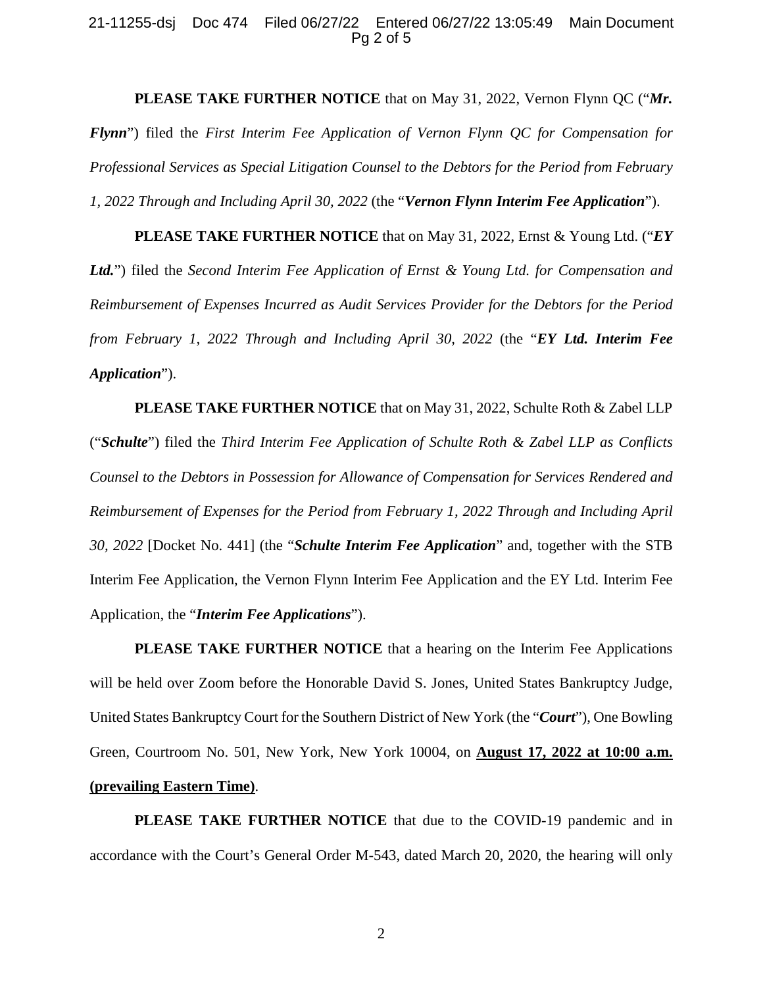### 21-11255-dsj Doc 474 Filed 06/27/22 Entered 06/27/22 13:05:49 Main Document Pg 2 of 5

**PLEASE TAKE FURTHER NOTICE** that on May 31, 2022, Vernon Flynn QC ("*Mr. Flynn*") filed the *First Interim Fee Application of Vernon Flynn QC for Compensation for Professional Services as Special Litigation Counsel to the Debtors for the Period from February 1, 2022 Through and Including April 30, 2022* (the "*Vernon Flynn Interim Fee Application*").

**PLEASE TAKE FURTHER NOTICE** that on May 31, 2022, Ernst & Young Ltd. ("*EY Ltd.*") filed the *Second Interim Fee Application of Ernst & Young Ltd. for Compensation and Reimbursement of Expenses Incurred as Audit Services Provider for the Debtors for the Period from February 1, 2022 Through and Including April 30, 2022* (the "*EY Ltd. Interim Fee Application*").

**PLEASE TAKE FURTHER NOTICE** that on May 31, 2022, Schulte Roth & Zabel LLP ("*Schulte*") filed the *Third Interim Fee Application of Schulte Roth & Zabel LLP as Conflicts Counsel to the Debtors in Possession for Allowance of Compensation for Services Rendered and Reimbursement of Expenses for the Period from February 1, 2022 Through and Including April 30, 2022* [Docket No. 441] (the "*Schulte Interim Fee Application*" and, together with the STB Interim Fee Application, the Vernon Flynn Interim Fee Application and the EY Ltd. Interim Fee Application, the "*Interim Fee Applications*").

**PLEASE TAKE FURTHER NOTICE** that a hearing on the Interim Fee Applications will be held over Zoom before the Honorable David S. Jones, United States Bankruptcy Judge, United States Bankruptcy Court for the Southern District of New York (the "*Court*"), One Bowling Green, Courtroom No. 501, New York, New York 10004, on **August 17, 2022 at 10:00 a.m. (prevailing Eastern Time)**.

**PLEASE TAKE FURTHER NOTICE** that due to the COVID-19 pandemic and in accordance with the Court's General Order M-543, dated March 20, 2020, the hearing will only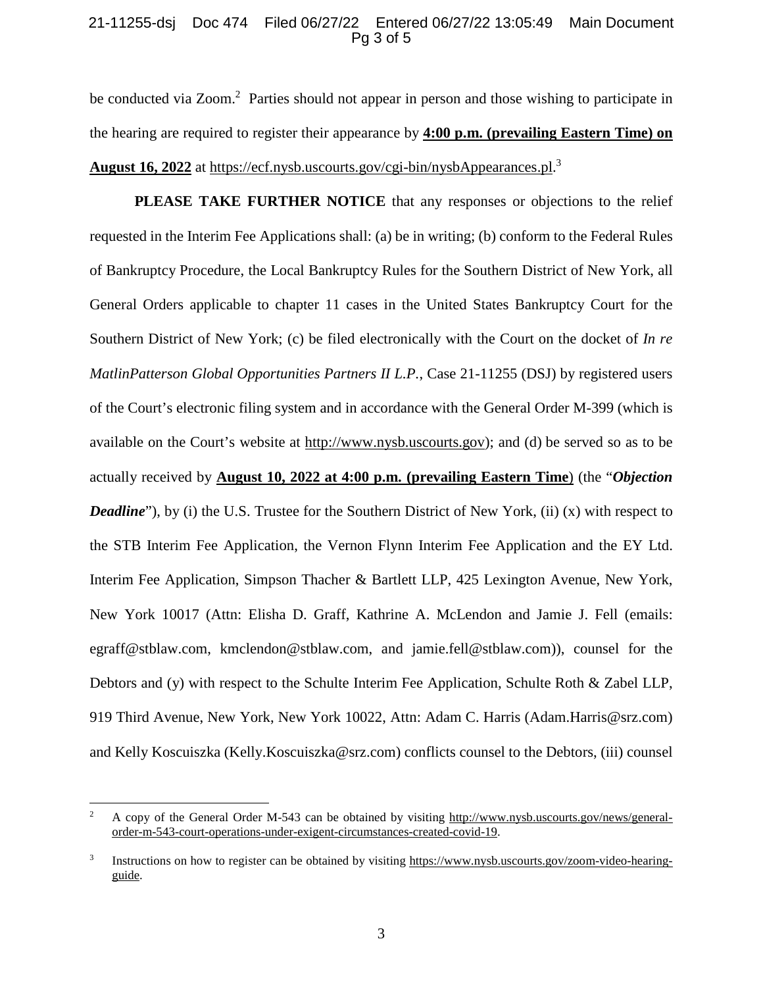### 21-11255-dsj Doc 474 Filed 06/27/22 Entered 06/27/22 13:05:49 Main Document Pg 3 of 5

be conducted via Zoom.<sup>2</sup> Parties should not appear in person and those wishing to participate in the hearing are required to register their appearance by **4:00 p.m. (prevailing Eastern Time) on August 16, 2022** at https://ecf.nysb.uscourts.gov/cgi-bin/nysbAppearances.pl.<sup>3</sup>

**PLEASE TAKE FURTHER NOTICE** that any responses or objections to the relief requested in the Interim Fee Applications shall: (a) be in writing; (b) conform to the Federal Rules of Bankruptcy Procedure, the Local Bankruptcy Rules for the Southern District of New York, all General Orders applicable to chapter 11 cases in the United States Bankruptcy Court for the Southern District of New York; (c) be filed electronically with the Court on the docket of *In re MatlinPatterson Global Opportunities Partners II L.P.*, Case 21-11255 (DSJ) by registered users of the Court's electronic filing system and in accordance with the General Order M-399 (which is available on the Court's website at http://www.nysb.uscourts.gov); and (d) be served so as to be actually received by **August 10, 2022 at 4:00 p.m. (prevailing Eastern Time**) (the "*Objection Deadline*"), by (i) the U.S. Trustee for the Southern District of New York, (ii) (x) with respect to the STB Interim Fee Application, the Vernon Flynn Interim Fee Application and the EY Ltd. Interim Fee Application, Simpson Thacher & Bartlett LLP, 425 Lexington Avenue, New York, New York 10017 (Attn: Elisha D. Graff, Kathrine A. McLendon and Jamie J. Fell (emails: egraff@stblaw.com, kmclendon@stblaw.com, and jamie.fell@stblaw.com)), counsel for the Debtors and (y) with respect to the Schulte Interim Fee Application, Schulte Roth & Zabel LLP, 919 Third Avenue, New York, New York 10022, Attn: Adam C. Harris (Adam.Harris@srz.com) and Kelly Koscuiszka (Kelly.Koscuiszka@srz.com) conflicts counsel to the Debtors, (iii) counsel

<sup>2</sup> A copy of the General Order M-543 can be obtained by visiting http://www.nysb.uscourts.gov/news/generalorder-m-543-court-operations-under-exigent-circumstances-created-covid-19.

<sup>3</sup> Instructions on how to register can be obtained by visiting https://www.nysb.uscourts.gov/zoom-video-hearingguide.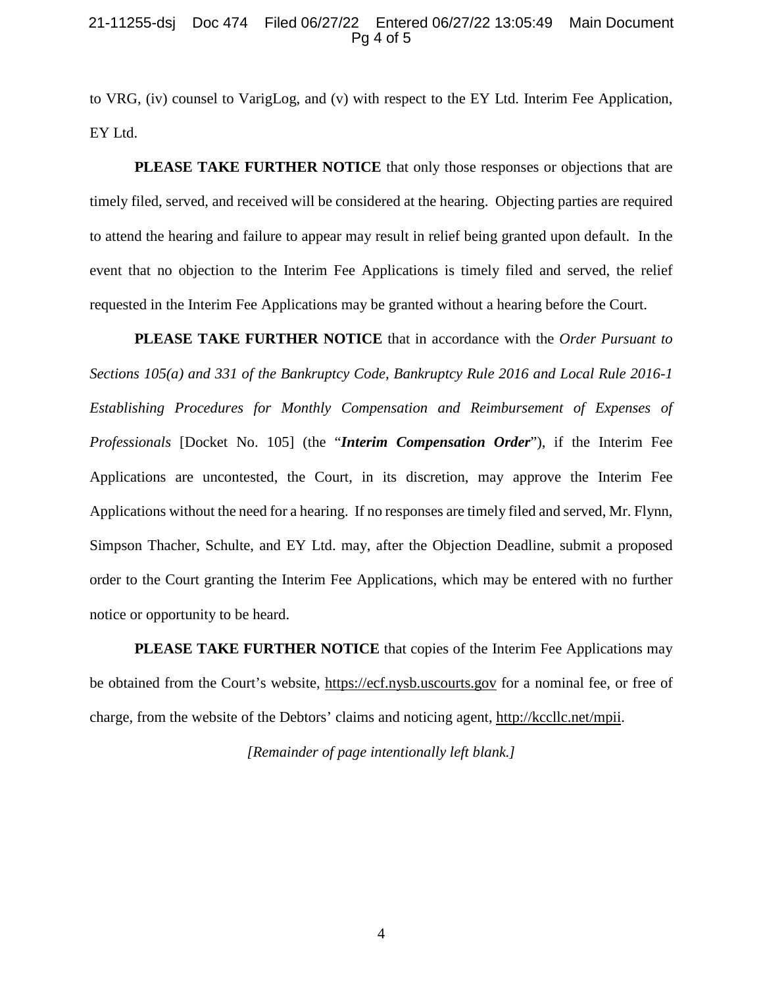### 21-11255-dsj Doc 474 Filed 06/27/22 Entered 06/27/22 13:05:49 Main Document Pg 4 of 5

to VRG, (iv) counsel to VarigLog, and (v) with respect to the EY Ltd. Interim Fee Application, EY Ltd.

**PLEASE TAKE FURTHER NOTICE** that only those responses or objections that are timely filed, served, and received will be considered at the hearing. Objecting parties are required to attend the hearing and failure to appear may result in relief being granted upon default. In the event that no objection to the Interim Fee Applications is timely filed and served, the relief requested in the Interim Fee Applications may be granted without a hearing before the Court.

**PLEASE TAKE FURTHER NOTICE** that in accordance with the *Order Pursuant to Sections 105(a) and 331 of the Bankruptcy Code, Bankruptcy Rule 2016 and Local Rule 2016-1 Establishing Procedures for Monthly Compensation and Reimbursement of Expenses of Professionals* [Docket No. 105] (the "*Interim Compensation Order*"), if the Interim Fee Applications are uncontested, the Court, in its discretion, may approve the Interim Fee Applications without the need for a hearing. If no responses are timely filed and served, Mr. Flynn, Simpson Thacher, Schulte, and EY Ltd. may, after the Objection Deadline, submit a proposed order to the Court granting the Interim Fee Applications, which may be entered with no further notice or opportunity to be heard.

**PLEASE TAKE FURTHER NOTICE** that copies of the Interim Fee Applications may be obtained from the Court's website, https://ecf.nysb.uscourts.gov for a nominal fee, or free of charge, from the website of the Debtors' claims and noticing agent, http://kccllc.net/mpii.

*[Remainder of page intentionally left blank.]*